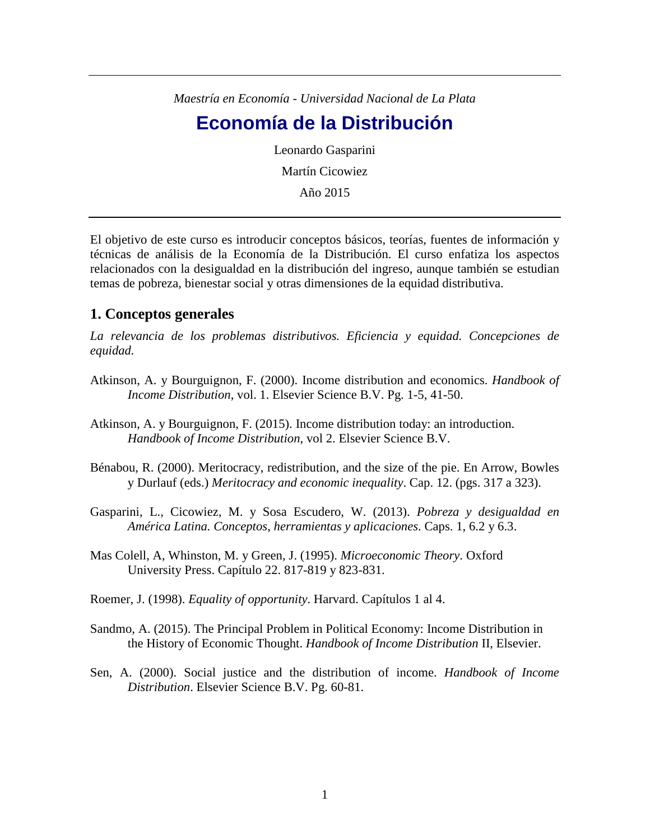*Maestría en Economía - Universidad Nacional de La Plata* 

## **Economía de la Distribución**

Leonardo Gasparini Martín Cicowiez

Año 2015

El objetivo de este curso es introducir conceptos básicos, teorías, fuentes de información y técnicas de análisis de la Economía de la Distribución. El curso enfatiza los aspectos relacionados con la desigualdad en la distribución del ingreso, aunque también se estudian temas de pobreza, bienestar social y otras dimensiones de la equidad distributiva.

## **1. Conceptos generales**

*La relevancia de los problemas distributivos. Eficiencia y equidad. Concepciones de equidad.* 

- Atkinson, A. y Bourguignon, F. (2000). Income distribution and economics. *Handbook of Income Distribution*, vol. 1. Elsevier Science B.V. Pg. 1-5, 41-50.
- Atkinson, A. y Bourguignon, F. (2015). Income distribution today: an introduction. *Handbook of Income Distribution*, vol 2. Elsevier Science B.V.
- Bénabou, R. (2000). Meritocracy, redistribution, and the size of the pie. En Arrow, Bowles y Durlauf (eds.) *Meritocracy and economic inequality*. Cap. 12. (pgs. 317 a 323).
- Gasparini, L., Cicowiez, M. y Sosa Escudero, W. (2013). *Pobreza y desigualdad en América Latina. Conceptos, herramientas y aplicaciones*. Caps. 1, 6.2 y 6.3.
- Mas Colell, A, Whinston, M. y Green, J. (1995). *Microeconomic Theory*. Oxford University Press. Capítulo 22. 817-819 y 823-831.
- Roemer, J. (1998). *Equality of opportunity*. Harvard. Capítulos 1 al 4.
- Sandmo, A. (2015). The Principal Problem in Political Economy: Income Distribution in the History of Economic Thought. *Handbook of Income Distribution* II, Elsevier.
- Sen, A. (2000). Social justice and the distribution of income. *Handbook of Income Distribution*. Elsevier Science B.V. Pg. 60-81.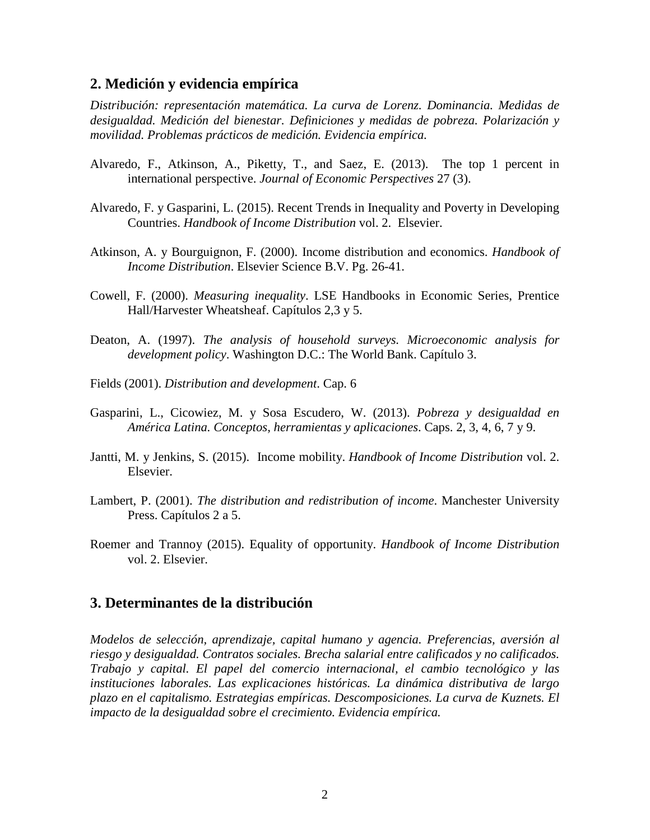## **2. Medición y evidencia empírica**

*Distribución: representación matemática. La curva de Lorenz. Dominancia. Medidas de desigualdad. Medición del bienestar. Definiciones y medidas de pobreza. Polarización y movilidad. Problemas prácticos de medición. Evidencia empírica.*

- Alvaredo, F., Atkinson, A., Piketty, T., and Saez, E. (2013). The top 1 percent in international perspective. *Journal of Economic Perspectives* 27 (3).
- Alvaredo, F. y Gasparini, L. (2015). Recent Trends in Inequality and Poverty in Developing Countries. *Handbook of Income Distribution* vol. 2. Elsevier.
- Atkinson, A. y Bourguignon, F. (2000). Income distribution and economics. *Handbook of Income Distribution*. Elsevier Science B.V. Pg. 26-41.
- Cowell, F. (2000). *Measuring inequality*. LSE Handbooks in Economic Series, Prentice Hall/Harvester Wheatsheaf. Capítulos 2,3 y 5.
- Deaton, A. (1997). *The analysis of household surveys. Microeconomic analysis for development policy*. Washington D.C.: The World Bank. Capítulo 3.
- Fields (2001). *Distribution and development*. Cap. 6
- Gasparini, L., Cicowiez, M. y Sosa Escudero, W. (2013). *Pobreza y desigualdad en América Latina. Conceptos, herramientas y aplicaciones*. Caps. 2, 3, 4, 6, 7 y 9.
- Jantti, M. y Jenkins, S. (2015). Income mobility. *Handbook of Income Distribution* vol. 2. Elsevier.
- Lambert, P. (2001). *The distribution and redistribution of income*. Manchester University Press. Capítulos 2 a 5.
- Roemer and Trannoy (2015). Equality of opportunity. *Handbook of Income Distribution* vol. 2. Elsevier.

## **3. Determinantes de la distribución**

*Modelos de selección, aprendizaje, capital humano y agencia. Preferencias, aversión al riesgo y desigualdad. Contratos sociales. Brecha salarial entre calificados y no calificados. Trabajo y capital. El papel del comercio internacional, el cambio tecnológico y las instituciones laborales. Las explicaciones históricas. La dinámica distributiva de largo plazo en el capitalismo. Estrategias empíricas. Descomposiciones. La curva de Kuznets. El impacto de la desigualdad sobre el crecimiento. Evidencia empírica.*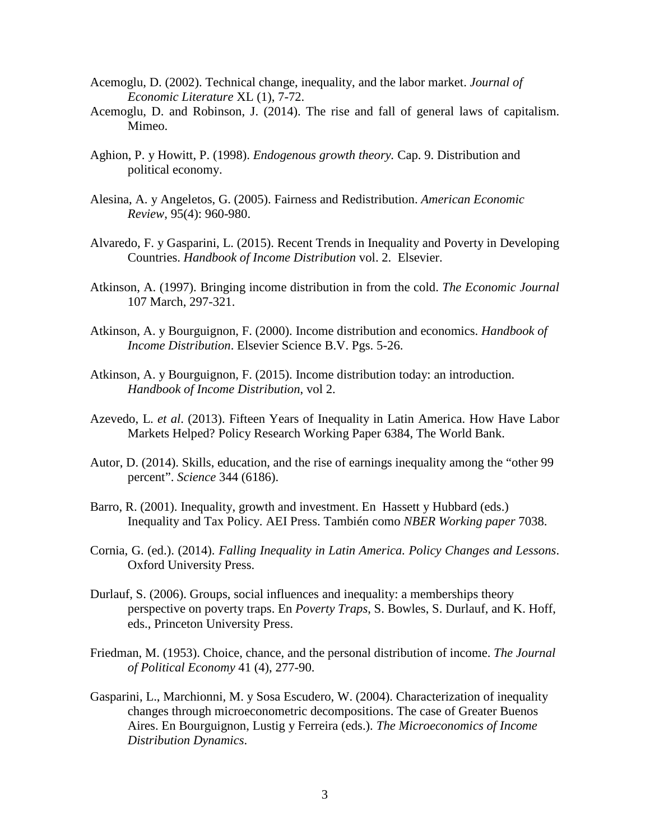- Acemoglu, D. (2002). Technical change, inequality, and the labor market. *Journal of Economic Literature* XL (1), 7-72.
- Acemoglu, D. and Robinson, J. (2014). The rise and fall of general laws of capitalism. Mimeo.
- Aghion, P. y Howitt, P. (1998). *Endogenous growth theory.* Cap. 9. Distribution and political economy.
- Alesina, A. y Angeletos, G. (2005). Fairness and Redistribution. *American Economic Review*, 95(4): 960-980.
- Alvaredo, F. y Gasparini, L. (2015). Recent Trends in Inequality and Poverty in Developing Countries. *Handbook of Income Distribution* vol. 2. Elsevier.
- Atkinson, A. (1997). Bringing income distribution in from the cold. *The Economic Journal*  107 March, 297-321.
- Atkinson, A. y Bourguignon, F. (2000). Income distribution and economics. *Handbook of Income Distribution*. Elsevier Science B.V. Pgs. 5-26.
- Atkinson, A. y Bourguignon, F. (2015). Income distribution today: an introduction. *Handbook of Income Distribution*, vol 2.
- Azevedo, L. *et al*. (2013). Fifteen Years of Inequality in Latin America. How Have Labor Markets Helped? Policy Research Working Paper 6384, The World Bank.
- Autor, D. (2014). Skills, education, and the rise of earnings inequality among the "other 99 percent". *Science* 344 (6186).
- Barro, R. (2001). Inequality, growth and investment. En Hassett y Hubbard (eds.) Inequality and Tax Policy. AEI Press. También como *NBER Working paper* 7038.
- Cornia, G. (ed.). (2014). *Falling Inequality in Latin America. Policy Changes and Lessons*. Oxford University Press.
- Durlauf, S. (2006). Groups, social influences and inequality: a memberships theory perspective on poverty traps. En *Poverty Traps*, S. Bowles, S. Durlauf, and K. Hoff, eds., Princeton University Press.
- Friedman, M. (1953). Choice, chance, and the personal distribution of income. *The Journal of Political Economy* 41 (4), 277-90.
- Gasparini, L., Marchionni, M. y Sosa Escudero, W. (2004). Characterization of inequality changes through microeconometric decompositions. The case of Greater Buenos Aires. En Bourguignon, Lustig y Ferreira (eds.). *The Microeconomics of Income Distribution Dynamics*.